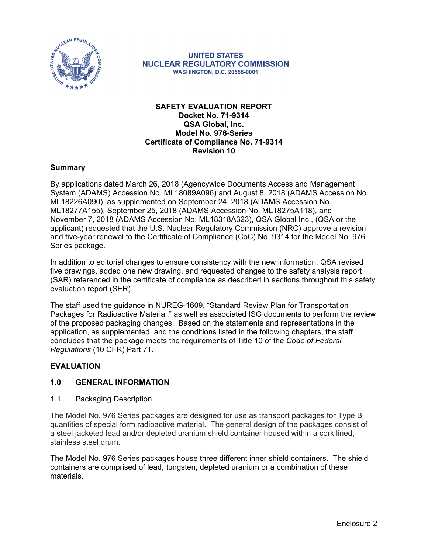

**UNITED STATES NUCLEAR REGULATORY COMMISSION WASHINGTON, D.C. 20555-0001** 

### **SAFETY EVALUATION REPORT Docket No. 71-9314 QSA Global, Inc. Model No. 976-Series Certificate of Compliance No. 71-9314 Revision 10**

### **Summary**

By applications dated March 26, 2018 (Agencywide Documents Access and Management System (ADAMS) Accession No. ML18089A096) and August 8, 2018 (ADAMS Accession No. ML18226A090), as supplemented on September 24, 2018 (ADAMS Accession No. ML18277A155), September 25, 2018 (ADAMS Accession No. ML18275A118), and November 7, 2018 (ADAMS Accession No. ML18318A323), QSA Global Inc., (QSA or the applicant) requested that the U.S. Nuclear Regulatory Commission (NRC) approve a revision and five-year renewal to the Certificate of Compliance (CoC) No. 9314 for the Model No. 976 Series package.

In addition to editorial changes to ensure consistency with the new information, QSA revised five drawings, added one new drawing, and requested changes to the safety analysis report (SAR) referenced in the certificate of compliance as described in sections throughout this safety evaluation report (SER).

The staff used the guidance in NUREG-1609, "Standard Review Plan for Transportation Packages for Radioactive Material," as well as associated ISG documents to perform the review of the proposed packaging changes. Based on the statements and representations in the application, as supplemented, and the conditions listed in the following chapters, the staff concludes that the package meets the requirements of Title 10 of the *Code of Federal Regulations* (10 CFR) Part 71.

# **EVALUATION**

# **1.0 GENERAL INFORMATION**

1.1 Packaging Description

The Model No. 976 Series packages are designed for use as transport packages for Type B quantities of special form radioactive material. The general design of the packages consist of a steel jacketed lead and/or depleted uranium shield container housed within a cork lined, stainless steel drum.

The Model No. 976 Series packages house three different inner shield containers. The shield containers are comprised of lead, tungsten, depleted uranium or a combination of these materials.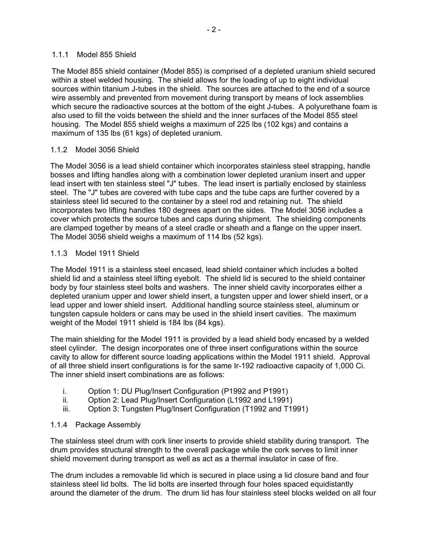### 1.1.1 Model 855 Shield

The Model 855 shield container (Model 855) is comprised of a depleted uranium shield secured within a steel welded housing. The shield allows for the loading of up to eight individual sources within titanium J-tubes in the shield. The sources are attached to the end of a source wire assembly and prevented from movement during transport by means of lock assemblies which secure the radioactive sources at the bottom of the eight J-tubes. A polyurethane foam is also used to fill the voids between the shield and the inner surfaces of the Model 855 steel housing. The Model 855 shield weighs a maximum of 225 lbs (102 kgs) and contains a maximum of 135 lbs (61 kgs) of depleted uranium.

# 1.1.2 Model 3056 Shield

The Model 3056 is a lead shield container which incorporates stainless steel strapping, handle bosses and lifting handles along with a combination lower depleted uranium insert and upper lead insert with ten stainless steel "J" tubes. The lead insert is partially enclosed by stainless steel. The "J" tubes are covered with tube caps and the tube caps are further covered by a stainless steel lid secured to the container by a steel rod and retaining nut. The shield incorporates two lifting handles 180 degrees apart on the sides. The Model 3056 includes a cover which protects the source tubes and caps during shipment. The shielding components are clamped together by means of a steel cradle or sheath and a flange on the upper insert. The Model 3056 shield weighs a maximum of 114 lbs (52 kgs).

# 1.1.3 Model 1911 Shield

The Model 1911 is a stainless steel encased, lead shield container which includes a bolted shield lid and a stainless steel lifting eyebolt. The shield lid is secured to the shield container body by four stainless steel bolts and washers. The inner shield cavity incorporates either a depleted uranium upper and lower shield insert, a tungsten upper and lower shield insert, or a lead upper and lower shield insert. Additional handling source stainless steel, aluminum or tungsten capsule holders or cans may be used in the shield insert cavities. The maximum weight of the Model 1911 shield is 184 lbs (84 kgs).

The main shielding for the Model 1911 is provided by a lead shield body encased by a welded steel cylinder. The design incorporates one of three insert configurations within the source cavity to allow for different source loading applications within the Model 1911 shield. Approval of all three shield insert configurations is for the same Ir-192 radioactive capacity of 1,000 Ci. The inner shield insert combinations are as follows:

- i. Option 1: DU Plug/Insert Configuration (P1992 and P1991)
- ii. Option 2: Lead Plug/Insert Configuration (L1992 and L1991)
- iii. Option 3: Tungsten Plug/Insert Configuration (T1992 and T1991)

# 1.1.4 Package Assembly

The stainless steel drum with cork liner inserts to provide shield stability during transport. The drum provides structural strength to the overall package while the cork serves to limit inner shield movement during transport as well as act as a thermal insulator in case of fire.

The drum includes a removable lid which is secured in place using a lid closure band and four stainless steel lid bolts. The lid bolts are inserted through four holes spaced equidistantly around the diameter of the drum. The drum lid has four stainless steel blocks welded on all four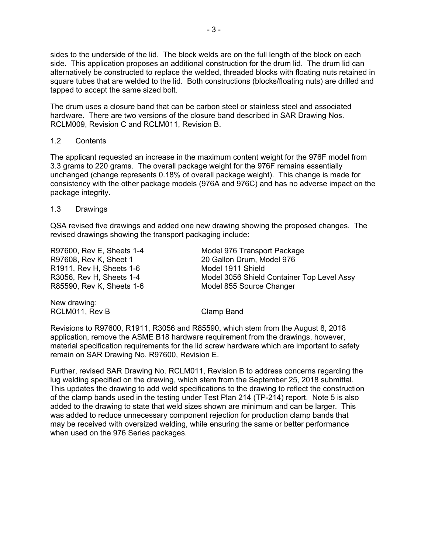sides to the underside of the lid. The block welds are on the full length of the block on each side. This application proposes an additional construction for the drum lid. The drum lid can alternatively be constructed to replace the welded, threaded blocks with floating nuts retained in square tubes that are welded to the lid. Both constructions (blocks/floating nuts) are drilled and tapped to accept the same sized bolt.

The drum uses a closure band that can be carbon steel or stainless steel and associated hardware. There are two versions of the closure band described in SAR Drawing Nos. RCLM009, Revision C and RCLM011, Revision B.

### 1.2 Contents

The applicant requested an increase in the maximum content weight for the 976F model from 3.3 grams to 220 grams. The overall package weight for the 976F remains essentially unchanged (change represents 0.18% of overall package weight). This change is made for consistency with the other package models (976A and 976C) and has no adverse impact on the package integrity.

### 1.3 Drawings

QSA revised five drawings and added one new drawing showing the proposed changes. The revised drawings showing the transport packaging include:

| R97600, Rev E, Sheets 1-4<br>R97608, Rev K, Sheet 1 | Model 976 Transport Package<br>20 Gallon Drum, Model 976 |
|-----------------------------------------------------|----------------------------------------------------------|
| R1911, Rev H, Sheets 1-6                            | Model 1911 Shield                                        |
| R3056, Rev H, Sheets 1-4                            | Model 3056 Shield Container Top Level Assy               |
| R85590, Rev K, Sheets 1-6                           | Model 855 Source Changer                                 |
| Nou drougan                                         |                                                          |

New drawing: RCLM011, Rev B Clamp Band

Revisions to R97600, R1911, R3056 and R85590, which stem from the August 8, 2018 application, remove the ASME B18 hardware requirement from the drawings, however, material specification requirements for the lid screw hardware which are important to safety remain on SAR Drawing No. R97600, Revision E.

Further, revised SAR Drawing No. RCLM011, Revision B to address concerns regarding the lug welding specified on the drawing, which stem from the September 25, 2018 submittal. This updates the drawing to add weld specifications to the drawing to reflect the construction of the clamp bands used in the testing under Test Plan 214 (TP-214) report. Note 5 is also added to the drawing to state that weld sizes shown are minimum and can be larger. This was added to reduce unnecessary component rejection for production clamp bands that may be received with oversized welding, while ensuring the same or better performance when used on the 976 Series packages.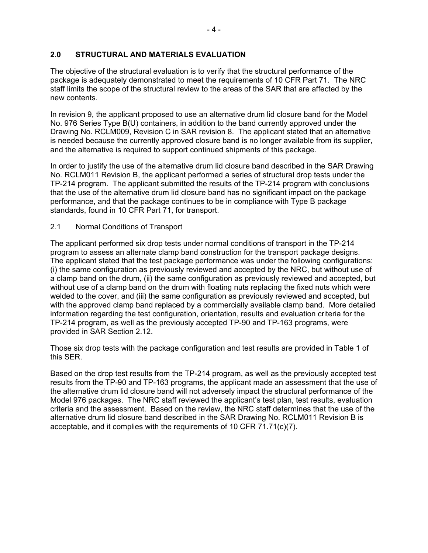# **2.0 STRUCTURAL AND MATERIALS EVALUATION**

The objective of the structural evaluation is to verify that the structural performance of the package is adequately demonstrated to meet the requirements of 10 CFR Part 71. The NRC staff limits the scope of the structural review to the areas of the SAR that are affected by the new contents.

In revision 9, the applicant proposed to use an alternative drum lid closure band for the Model No. 976 Series Type B(U) containers, in addition to the band currently approved under the Drawing No. RCLM009, Revision C in SAR revision 8. The applicant stated that an alternative is needed because the currently approved closure band is no longer available from its supplier, and the alternative is required to support continued shipments of this package.

In order to justify the use of the alternative drum lid closure band described in the SAR Drawing No. RCLM011 Revision B, the applicant performed a series of structural drop tests under the TP-214 program. The applicant submitted the results of the TP-214 program with conclusions that the use of the alternative drum lid closure band has no significant impact on the package performance, and that the package continues to be in compliance with Type B package standards, found in 10 CFR Part 71, for transport.

# 2.1 Normal Conditions of Transport

The applicant performed six drop tests under normal conditions of transport in the TP-214 program to assess an alternate clamp band construction for the transport package designs. The applicant stated that the test package performance was under the following configurations: (i) the same configuration as previously reviewed and accepted by the NRC, but without use of a clamp band on the drum, (ii) the same configuration as previously reviewed and accepted, but without use of a clamp band on the drum with floating nuts replacing the fixed nuts which were welded to the cover, and (iii) the same configuration as previously reviewed and accepted, but with the approved clamp band replaced by a commercially available clamp band. More detailed information regarding the test configuration, orientation, results and evaluation criteria for the TP-214 program, as well as the previously accepted TP-90 and TP-163 programs, were provided in SAR Section 2.12.

Those six drop tests with the package configuration and test results are provided in Table 1 of this SER.

Based on the drop test results from the TP-214 program, as well as the previously accepted test results from the TP-90 and TP-163 programs, the applicant made an assessment that the use of the alternative drum lid closure band will not adversely impact the structural performance of the Model 976 packages. The NRC staff reviewed the applicant's test plan, test results, evaluation criteria and the assessment. Based on the review, the NRC staff determines that the use of the alternative drum lid closure band described in the SAR Drawing No. RCLM011 Revision B is acceptable, and it complies with the requirements of 10 CFR 71.71(c)(7).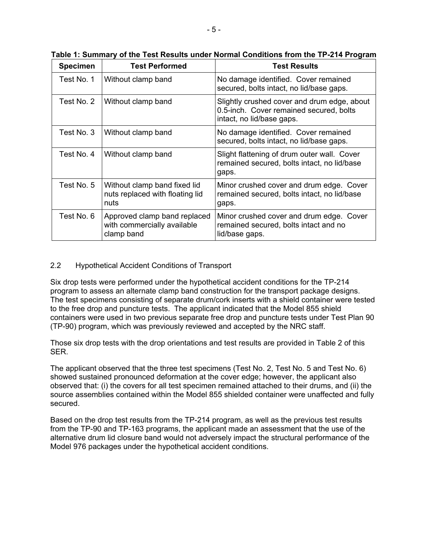| <b>Specimen</b> | <b>Test Performed</b>                                                     | <b>Test Results</b>                                                                                                 |
|-----------------|---------------------------------------------------------------------------|---------------------------------------------------------------------------------------------------------------------|
| Test No. 1      | Without clamp band                                                        | No damage identified. Cover remained<br>secured, bolts intact, no lid/base gaps.                                    |
| Test No. 2      | Without clamp band                                                        | Slightly crushed cover and drum edge, about<br>0.5-inch. Cover remained secured, bolts<br>intact, no lid/base gaps. |
| Test No. 3      | Without clamp band                                                        | No damage identified. Cover remained<br>secured, bolts intact, no lid/base gaps.                                    |
| Test No. 4      | Without clamp band                                                        | Slight flattening of drum outer wall. Cover<br>remained secured, bolts intact, no lid/base<br>gaps.                 |
| Test No. 5      | Without clamp band fixed lid<br>nuts replaced with floating lid<br>nuts   | Minor crushed cover and drum edge. Cover<br>remained secured, bolts intact, no lid/base<br>gaps.                    |
| Test No. 6      | Approved clamp band replaced<br>with commercially available<br>clamp band | Minor crushed cover and drum edge. Cover<br>remained secured, bolts intact and no<br>lid/base gaps.                 |

**Table 1: Summary of the Test Results under Normal Conditions from the TP-214 Program** 

# 2.2 Hypothetical Accident Conditions of Transport

Six drop tests were performed under the hypothetical accident conditions for the TP-214 program to assess an alternate clamp band construction for the transport package designs. The test specimens consisting of separate drum/cork inserts with a shield container were tested to the free drop and puncture tests. The applicant indicated that the Model 855 shield containers were used in two previous separate free drop and puncture tests under Test Plan 90 (TP-90) program, which was previously reviewed and accepted by the NRC staff.

Those six drop tests with the drop orientations and test results are provided in Table 2 of this SER.

The applicant observed that the three test specimens (Test No. 2, Test No. 5 and Test No. 6) showed sustained pronounced deformation at the cover edge; however, the applicant also observed that: (i) the covers for all test specimen remained attached to their drums, and (ii) the source assemblies contained within the Model 855 shielded container were unaffected and fully secured.

Based on the drop test results from the TP-214 program, as well as the previous test results from the TP-90 and TP-163 programs, the applicant made an assessment that the use of the alternative drum lid closure band would not adversely impact the structural performance of the Model 976 packages under the hypothetical accident conditions.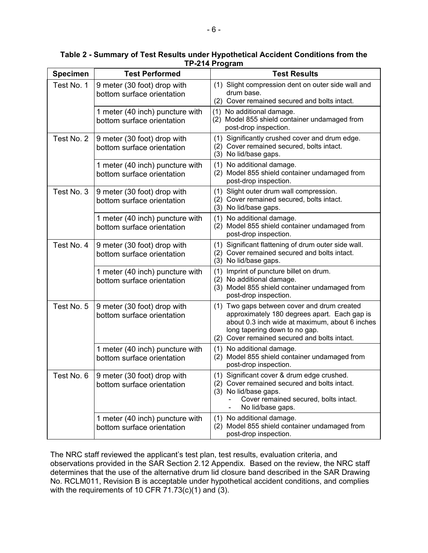| <b>Specimen</b> | <b>Test Performed</b>                                         | <b>Test Results</b>                                                                                                                                                                                                               |
|-----------------|---------------------------------------------------------------|-----------------------------------------------------------------------------------------------------------------------------------------------------------------------------------------------------------------------------------|
| Test No. 1      | 9 meter (30 foot) drop with<br>bottom surface orientation     | (1) Slight compression dent on outer side wall and<br>drum base.<br>(2) Cover remained secured and bolts intact.                                                                                                                  |
|                 | 1 meter (40 inch) puncture with<br>bottom surface orientation | (1) No additional damage.<br>Model 855 shield container undamaged from<br>(2)<br>post-drop inspection.                                                                                                                            |
| Test No. 2      | 9 meter (30 foot) drop with<br>bottom surface orientation     | (1)<br>Significantly crushed cover and drum edge.<br>(2) Cover remained secured, bolts intact.<br>(3) No lid/base gaps.                                                                                                           |
|                 | 1 meter (40 inch) puncture with<br>bottom surface orientation | (1)<br>No additional damage.<br>Model 855 shield container undamaged from<br>(2)<br>post-drop inspection.                                                                                                                         |
| Test No. 3      | 9 meter (30 foot) drop with<br>bottom surface orientation     | (1) Slight outer drum wall compression.<br>(2) Cover remained secured, bolts intact.<br>(3) No lid/base gaps.                                                                                                                     |
|                 | 1 meter (40 inch) puncture with<br>bottom surface orientation | No additional damage.<br>(1)<br>(2) Model 855 shield container undamaged from<br>post-drop inspection.                                                                                                                            |
| Test No. 4      | 9 meter (30 foot) drop with<br>bottom surface orientation     | Significant flattening of drum outer side wall.<br>(1)<br>Cover remained secured and bolts intact.<br>(2)<br>(3) No lid/base gaps.                                                                                                |
|                 | 1 meter (40 inch) puncture with<br>bottom surface orientation | Imprint of puncture billet on drum.<br>(1)<br>(2) No additional damage.<br>(3) Model 855 shield container undamaged from<br>post-drop inspection.                                                                                 |
| Test No. 5      | 9 meter (30 foot) drop with<br>bottom surface orientation     | Two gaps between cover and drum created<br>(1)<br>approximately 180 degrees apart. Each gap is<br>about 0.3 inch wide at maximum, about 6 inches<br>long tapering down to no gap.<br>(2) Cover remained secured and bolts intact. |
|                 | 1 meter (40 inch) puncture with<br>bottom surface orientation | (1) No additional damage.<br>(2) Model 855 shield container undamaged from<br>post-drop inspection.                                                                                                                               |
| Test No. 6      | 9 meter (30 foot) drop with<br>bottom surface orientation     | (1) Significant cover & drum edge crushed.<br>(2) Cover remained secured and bolts intact.<br>(3) No lid/base gaps.<br>Cover remained secured, bolts intact.<br>No lid/base gaps.                                                 |
|                 | 1 meter (40 inch) puncture with<br>bottom surface orientation | No additional damage.<br>(1)<br>(2) Model 855 shield container undamaged from<br>post-drop inspection.                                                                                                                            |

**Table 2 - Summary of Test Results under Hypothetical Accident Conditions from the TP-214 Program** 

The NRC staff reviewed the applicant's test plan, test results, evaluation criteria, and observations provided in the SAR Section 2.12 Appendix. Based on the review, the NRC staff determines that the use of the alternative drum lid closure band described in the SAR Drawing No. RCLM011, Revision B is acceptable under hypothetical accident conditions, and complies with the requirements of 10 CFR  $71.73(c)(1)$  and (3).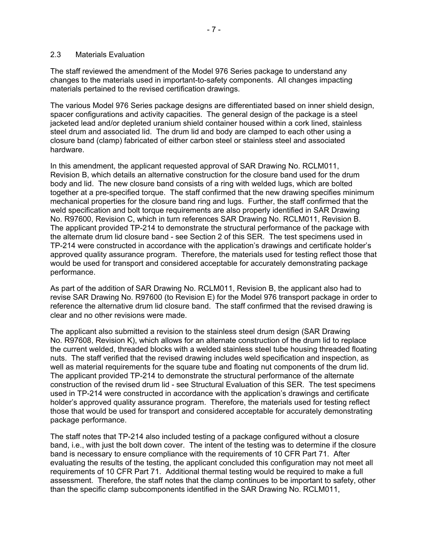#### 2.3 Materials Evaluation

The staff reviewed the amendment of the Model 976 Series package to understand any changes to the materials used in important-to-safety components. All changes impacting materials pertained to the revised certification drawings.

The various Model 976 Series package designs are differentiated based on inner shield design, spacer configurations and activity capacities. The general design of the package is a steel jacketed lead and/or depleted uranium shield container housed within a cork lined, stainless steel drum and associated lid. The drum lid and body are clamped to each other using a closure band (clamp) fabricated of either carbon steel or stainless steel and associated hardware.

In this amendment, the applicant requested approval of SAR Drawing No. RCLM011, Revision B, which details an alternative construction for the closure band used for the drum body and lid. The new closure band consists of a ring with welded lugs, which are bolted together at a pre-specified torque. The staff confirmed that the new drawing specifies minimum mechanical properties for the closure band ring and lugs. Further, the staff confirmed that the weld specification and bolt torque requirements are also properly identified in SAR Drawing No. R97600, Revision C, which in turn references SAR Drawing No. RCLM011, Revision B. The applicant provided TP-214 to demonstrate the structural performance of the package with the alternate drum lid closure band - see Section 2 of this SER. The test specimens used in TP-214 were constructed in accordance with the application's drawings and certificate holder's approved quality assurance program. Therefore, the materials used for testing reflect those that would be used for transport and considered acceptable for accurately demonstrating package performance.

As part of the addition of SAR Drawing No. RCLM011, Revision B, the applicant also had to revise SAR Drawing No. R97600 (to Revision E) for the Model 976 transport package in order to reference the alternative drum lid closure band. The staff confirmed that the revised drawing is clear and no other revisions were made.

The applicant also submitted a revision to the stainless steel drum design (SAR Drawing No. R97608, Revision K), which allows for an alternate construction of the drum lid to replace the current welded, threaded blocks with a welded stainless steel tube housing threaded floating nuts. The staff verified that the revised drawing includes weld specification and inspection, as well as material requirements for the square tube and floating nut components of the drum lid. The applicant provided TP-214 to demonstrate the structural performance of the alternate construction of the revised drum lid - see Structural Evaluation of this SER. The test specimens used in TP-214 were constructed in accordance with the application's drawings and certificate holder's approved quality assurance program. Therefore, the materials used for testing reflect those that would be used for transport and considered acceptable for accurately demonstrating package performance.

The staff notes that TP-214 also included testing of a package configured without a closure band, i.e., with just the bolt down cover. The intent of the testing was to determine if the closure band is necessary to ensure compliance with the requirements of 10 CFR Part 71. After evaluating the results of the testing, the applicant concluded this configuration may not meet all requirements of 10 CFR Part 71. Additional thermal testing would be required to make a full assessment. Therefore, the staff notes that the clamp continues to be important to safety, other than the specific clamp subcomponents identified in the SAR Drawing No. RCLM011,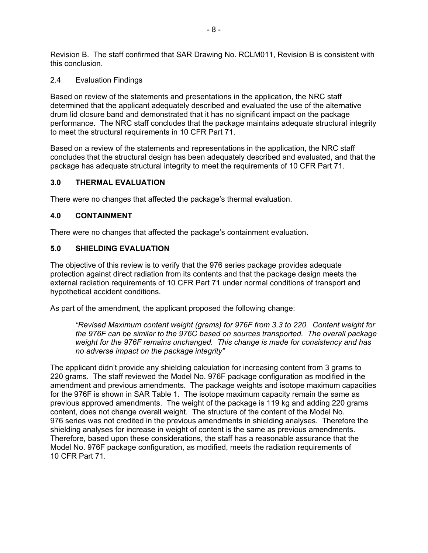Revision B. The staff confirmed that SAR Drawing No. RCLM011, Revision B is consistent with this conclusion.

## 2.4 Evaluation Findings

Based on review of the statements and presentations in the application, the NRC staff determined that the applicant adequately described and evaluated the use of the alternative drum lid closure band and demonstrated that it has no significant impact on the package performance. The NRC staff concludes that the package maintains adequate structural integrity to meet the structural requirements in 10 CFR Part 71.

Based on a review of the statements and representations in the application, the NRC staff concludes that the structural design has been adequately described and evaluated, and that the package has adequate structural integrity to meet the requirements of 10 CFR Part 71.

### **3.0 THERMAL EVALUATION**

There were no changes that affected the package's thermal evaluation.

### **4.0 CONTAINMENT**

There were no changes that affected the package's containment evaluation.

### **5.0 SHIELDING EVALUATION**

The objective of this review is to verify that the 976 series package provides adequate protection against direct radiation from its contents and that the package design meets the external radiation requirements of 10 CFR Part 71 under normal conditions of transport and hypothetical accident conditions.

As part of the amendment, the applicant proposed the following change:

*"Revised Maximum content weight (grams) for 976F from 3.3 to 220. Content weight for the 976F can be similar to the 976C based on sources transported. The overall package weight for the 976F remains unchanged. This change is made for consistency and has no adverse impact on the package integrity"* 

The applicant didn't provide any shielding calculation for increasing content from 3 grams to 220 grams. The staff reviewed the Model No. 976F package configuration as modified in the amendment and previous amendments. The package weights and isotope maximum capacities for the 976F is shown in SAR Table 1. The isotope maximum capacity remain the same as previous approved amendments. The weight of the package is 119 kg and adding 220 grams content, does not change overall weight. The structure of the content of the Model No. 976 series was not credited in the previous amendments in shielding analyses. Therefore the shielding analyses for increase in weight of content is the same as previous amendments. Therefore, based upon these considerations, the staff has a reasonable assurance that the Model No. 976F package configuration, as modified, meets the radiation requirements of 10 CFR Part 71.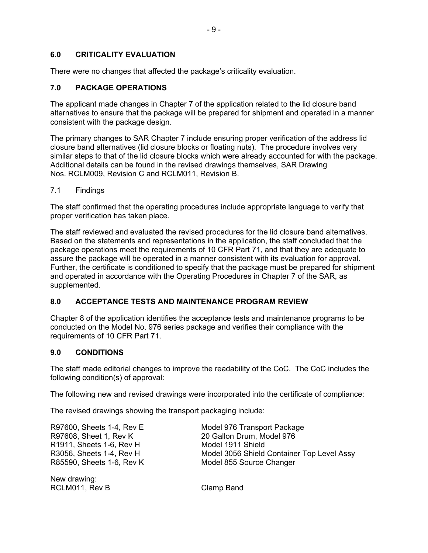## **6.0 CRITICALITY EVALUATION**

There were no changes that affected the package's criticality evaluation.

# **7.0 PACKAGE OPERATIONS**

The applicant made changes in Chapter 7 of the application related to the lid closure band alternatives to ensure that the package will be prepared for shipment and operated in a manner consistent with the package design.

The primary changes to SAR Chapter 7 include ensuring proper verification of the address lid closure band alternatives (lid closure blocks or floating nuts). The procedure involves very similar steps to that of the lid closure blocks which were already accounted for with the package. Additional details can be found in the revised drawings themselves, SAR Drawing Nos. RCLM009, Revision C and RCLM011, Revision B.

7.1 Findings

The staff confirmed that the operating procedures include appropriate language to verify that proper verification has taken place.

The staff reviewed and evaluated the revised procedures for the lid closure band alternatives. Based on the statements and representations in the application, the staff concluded that the package operations meet the requirements of 10 CFR Part 71, and that they are adequate to assure the package will be operated in a manner consistent with its evaluation for approval. Further, the certificate is conditioned to specify that the package must be prepared for shipment and operated in accordance with the Operating Procedures in Chapter 7 of the SAR, as supplemented.

# **8.0 ACCEPTANCE TESTS AND MAINTENANCE PROGRAM REVIEW**

Chapter 8 of the application identifies the acceptance tests and maintenance programs to be conducted on the Model No. 976 series package and verifies their compliance with the requirements of 10 CFR Part 71.

#### **9.0 CONDITIONS**

The staff made editorial changes to improve the readability of the CoC. The CoC includes the following condition(s) of approval:

The following new and revised drawings were incorporated into the certificate of compliance:

The revised drawings showing the transport packaging include:

| R97600, Sheets 1-4, Rev E | Model 976 Transport Package                |
|---------------------------|--------------------------------------------|
| R97608, Sheet 1, Rev K    | 20 Gallon Drum, Model 976                  |
| R1911, Sheets 1-6, Rev H  | Model 1911 Shield                          |
| R3056, Sheets 1-4, Rev H  | Model 3056 Shield Container Top Level Assy |
| R85590, Sheets 1-6, Rev K | Model 855 Source Changer                   |
|                           |                                            |

New drawing: RCLM011, Rev B Clamp Band